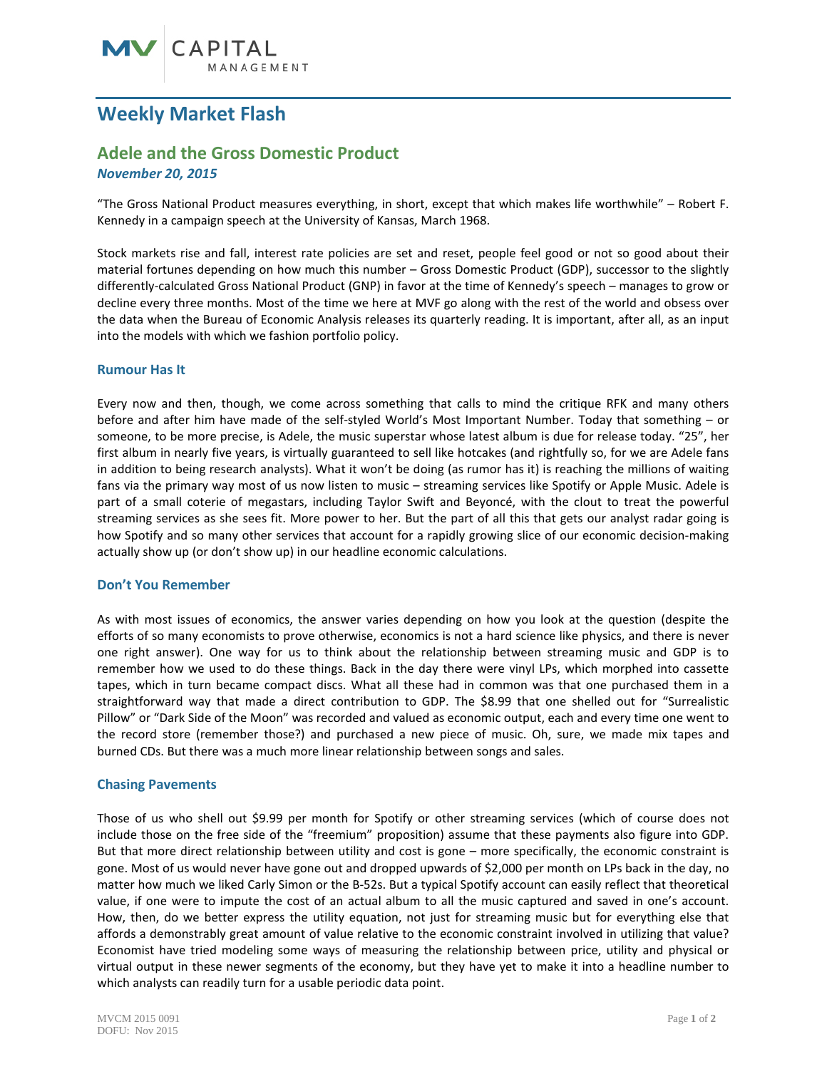# **Weekly Market Flash**

# **Adele and the Gross Domestic Product**

*November 20, 2015*

"The Gross National Product measures everything, in short, except that which makes life worthwhile" – Robert F. Kennedy in a campaign speech at the University of Kansas, March 1968.

Stock markets rise and fall, interest rate policies are set and reset, people feel good or not so good about their material fortunes depending on how much this number – Gross Domestic Product (GDP), successor to the slightly differently-calculated Gross National Product (GNP) in favor at the time of Kennedy's speech – manages to grow or decline every three months. Most of the time we here at MVF go along with the rest of the world and obsess over the data when the Bureau of Economic Analysis releases its quarterly reading. It is important, after all, as an input into the models with which we fashion portfolio policy.

## **Rumour Has It**

Every now and then, though, we come across something that calls to mind the critique RFK and many others before and after him have made of the self-styled World's Most Important Number. Today that something – or someone, to be more precise, is Adele, the music superstar whose latest album is due for release today. "25", her first album in nearly five years, is virtually guaranteed to sell like hotcakes (and rightfully so, for we are Adele fans in addition to being research analysts). What it won't be doing (as rumor has it) is reaching the millions of waiting fans via the primary way most of us now listen to music – streaming services like Spotify or Apple Music. Adele is part of a small coterie of megastars, including Taylor Swift and Beyoncé, with the clout to treat the powerful streaming services as she sees fit. More power to her. But the part of all this that gets our analyst radar going is how Spotify and so many other services that account for a rapidly growing slice of our economic decision-making actually show up (or don't show up) in our headline economic calculations.

#### **Don't You Remember**

As with most issues of economics, the answer varies depending on how you look at the question (despite the efforts of so many economists to prove otherwise, economics is not a hard science like physics, and there is never one right answer). One way for us to think about the relationship between streaming music and GDP is to remember how we used to do these things. Back in the day there were vinyl LPs, which morphed into cassette tapes, which in turn became compact discs. What all these had in common was that one purchased them in a straightforward way that made a direct contribution to GDP. The \$8.99 that one shelled out for "Surrealistic Pillow" or "Dark Side of the Moon" was recorded and valued as economic output, each and every time one went to the record store (remember those?) and purchased a new piece of music. Oh, sure, we made mix tapes and burned CDs. But there was a much more linear relationship between songs and sales.

## **Chasing Pavements**

Those of us who shell out \$9.99 per month for Spotify or other streaming services (which of course does not include those on the free side of the "freemium" proposition) assume that these payments also figure into GDP. But that more direct relationship between utility and cost is gone – more specifically, the economic constraint is gone. Most of us would never have gone out and dropped upwards of \$2,000 per month on LPs back in the day, no matter how much we liked Carly Simon or the B-52s. But a typical Spotify account can easily reflect that theoretical value, if one were to impute the cost of an actual album to all the music captured and saved in one's account. How, then, do we better express the utility equation, not just for streaming music but for everything else that affords a demonstrably great amount of value relative to the economic constraint involved in utilizing that value? Economist have tried modeling some ways of measuring the relationship between price, utility and physical or virtual output in these newer segments of the economy, but they have yet to make it into a headline number to which analysts can readily turn for a usable periodic data point.